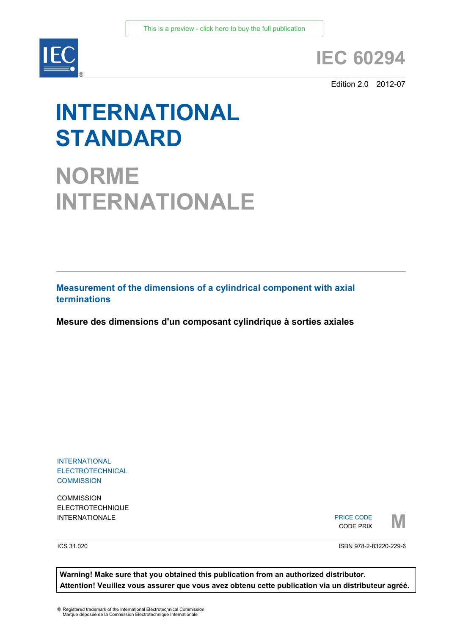

# **IEC 60294**

Edition 2.0 2012-07

# **INTERNATIONAL STANDARD**

**NORME INTERNATIONALE**

**Measurement of the dimensions of a cylindrical component with axial terminations** 

**Mesure des dimensions d'un composant cylindrique à sorties axiales**

INTERNATIONAL **ELECTROTECHNICAL COMMISSION** 

**COMMISSION** ELECTROTECHNIQUE

INTERNATIONALE PRICE CODE PRIX PRICE CODE CODE PRIX



ICS 31.020

ISBN 978-2-83220-229-6

**Warning! Make sure that you obtained this publication from an authorized distributor. Attention! Veuillez vous assurer que vous avez obtenu cette publication via un distributeur agréé.**

® Registered trademark of the International Electrotechnical Commission Marque déposée de la Commission Electrotechnique Internationale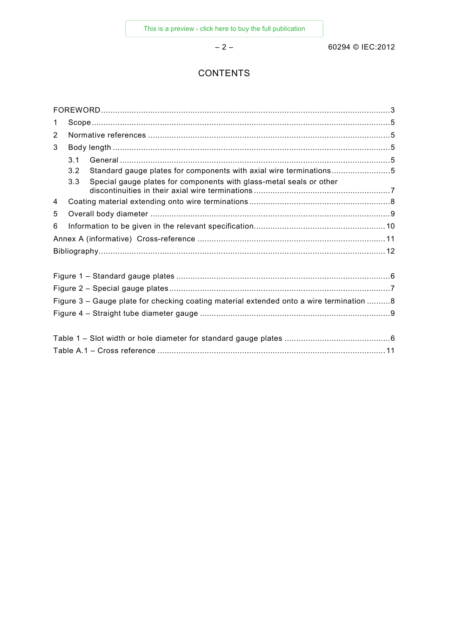– 2 – 60294 © IEC:2012

# **CONTENTS**

| $\mathbf 1$                                                                             |     |                                                                     |  |  |  |  |  |
|-----------------------------------------------------------------------------------------|-----|---------------------------------------------------------------------|--|--|--|--|--|
| 2                                                                                       |     |                                                                     |  |  |  |  |  |
| 3                                                                                       |     |                                                                     |  |  |  |  |  |
|                                                                                         | 3.1 |                                                                     |  |  |  |  |  |
|                                                                                         | 3.2 | Standard gauge plates for components with axial wire terminations5  |  |  |  |  |  |
|                                                                                         | 3.3 | Special gauge plates for components with glass-metal seals or other |  |  |  |  |  |
| 4                                                                                       |     |                                                                     |  |  |  |  |  |
| 5                                                                                       |     |                                                                     |  |  |  |  |  |
| 6                                                                                       |     |                                                                     |  |  |  |  |  |
|                                                                                         |     |                                                                     |  |  |  |  |  |
|                                                                                         |     |                                                                     |  |  |  |  |  |
|                                                                                         |     |                                                                     |  |  |  |  |  |
|                                                                                         |     |                                                                     |  |  |  |  |  |
| Figure 3 - Gauge plate for checking coating material extended onto a wire termination 8 |     |                                                                     |  |  |  |  |  |
|                                                                                         |     |                                                                     |  |  |  |  |  |
|                                                                                         |     |                                                                     |  |  |  |  |  |
|                                                                                         |     |                                                                     |  |  |  |  |  |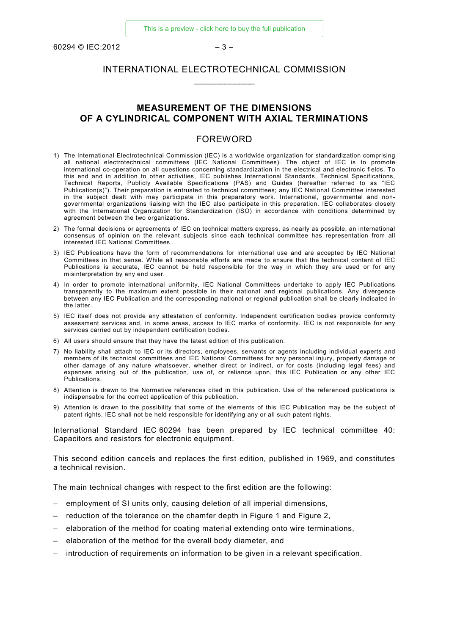$60294 \odot$  IEC:2012 – 3 –

### INTERNATIONAL ELECTROTECHNICAL COMMISSION  $\overline{\phantom{a}}$

#### **MEASUREMENT OF THE DIMENSIONS OF A CYLINDRICAL COMPONENT WITH AXIAL TERMINATIONS**

#### FOREWORD

- 1) The International Electrotechnical Commission (IEC) is a worldwide organization for standardization comprising all national electrotechnical committees (IEC National Committees). The object of IEC is to promote international co-operation on all questions concerning standardization in the electrical and electronic fields. To this end and in addition to other activities, IEC publishes International Standards, Technical Specifications, Technical Reports, Publicly Available Specifications (PAS) and Guides (hereafter referred to as "IEC Publication(s)"). Their preparation is entrusted to technical committees; any IEC National Committee interested in the subject dealt with may participate in this preparatory work. International, governmental and nongovernmental organizations liaising with the IEC also participate in this preparation. IEC collaborates closely with the International Organization for Standardization (ISO) in accordance with conditions determined by agreement between the two organizations.
- 2) The formal decisions or agreements of IEC on technical matters express, as nearly as possible, an international consensus of opinion on the relevant subjects since each technical committee has representation from all interested IEC National Committees.
- 3) IEC Publications have the form of recommendations for international use and are accepted by IEC National Committees in that sense. While all reasonable efforts are made to ensure that the technical content of IEC Publications is accurate, IEC cannot be held responsible for the way in which they are used or for any misinterpretation by any end user.
- 4) In order to promote international uniformity, IEC National Committees undertake to apply IEC Publications transparently to the maximum extent possible in their national and regional publications. Any divergence between any IEC Publication and the corresponding national or regional publication shall be clearly indicated in the latter.
- 5) IEC itself does not provide any attestation of conformity. Independent certification bodies provide conformity assessment services and, in some areas, access to IEC marks of conformity. IEC is not responsible for any services carried out by independent certification bodies.
- 6) All users should ensure that they have the latest edition of this publication.
- 7) No liability shall attach to IEC or its directors, employees, servants or agents including individual experts and members of its technical committees and IEC National Committees for any personal injury, property damage or other damage of any nature whatsoever, whether direct or indirect, or for costs (including legal fees) and expenses arising out of the publication, use of, or reliance upon, this IEC Publication or any other IEC Publications.
- 8) Attention is drawn to the Normative references cited in this publication. Use of the referenced publications is indispensable for the correct application of this publication.
- 9) Attention is drawn to the possibility that some of the elements of this IEC Publication may be the subject of patent rights. IEC shall not be held responsible for identifying any or all such patent rights.

International Standard IEC 60294 has been prepared by IEC technical committee 40: Capacitors and resistors for electronic equipment.

This second edition cancels and replaces the first edition, published in 1969, and constitutes a technical revision.

The main technical changes with respect to the first edition are the following:

- employment of SI units only, causing deletion of all imperial dimensions,
- reduction of the tolerance on the chamfer depth in Figure 1 and Figure 2,
- elaboration of the method for coating material extending onto wire terminations,
- elaboration of the method for the overall body diameter, and
- introduction of requirements on information to be given in a relevant specification.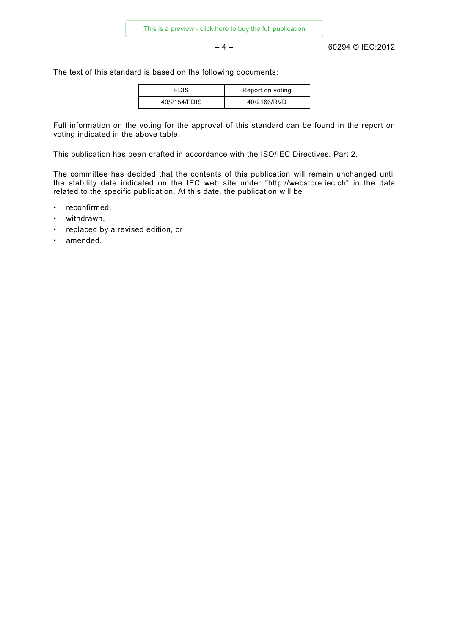– 4 – 60294 © IEC:2012

The text of this standard is based on the following documents:

| <b>FDIS</b>  | Report on voting |
|--------------|------------------|
| 40/2154/FDIS | 40/2166/RVD      |

Full information on the voting for the approval of this standard can be found in the report on voting indicated in the above table.

This publication has been drafted in accordance with the ISO/IEC Directives, Part 2.

The committee has decided that the contents of this publication will remain unchanged until the stability date indicated on the IEC web site under "http://webstore.iec.ch" in the data related to the specific publication. At this date, the publication will be

- reconfirmed,
- withdrawn,
- replaced by a revised edition, or
- amended.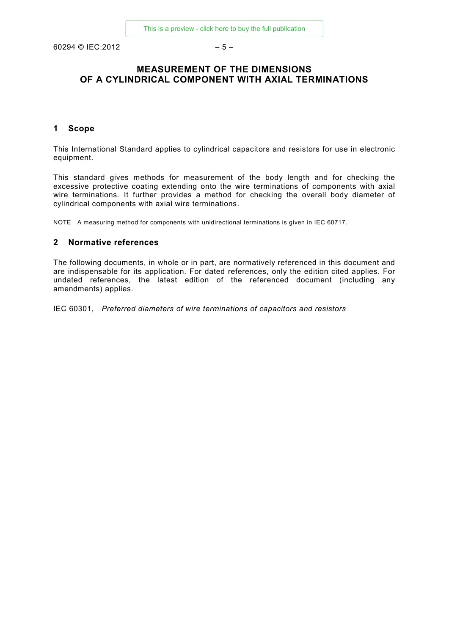$60294$  © IEC:2012 – 5 –

# **MEASUREMENT OF THE DIMENSIONS OF A CYLINDRICAL COMPONENT WITH AXIAL TERMINATIONS**

#### **1 Scope**

This International Standard applies to cylindrical capacitors and resistors for use in electronic equipment.

This standard gives methods for measurement of the body length and for checking the excessive protective coating extending onto the wire terminations of components with axial wire terminations. It further provides a method for checking the overall body diameter of cylindrical components with axial wire terminations.

NOTE A measuring method for components with unidirectional terminations is given in IEC 60717.

#### **2 Normative references**

The following documents, in whole or in part, are normatively referenced in this document and are indispensable for its application. For dated references, only the edition cited applies. For undated references, the latest edition of the referenced document (including any amendments) applies.

IEC 60301, *Preferred diameters of wire terminations of capacitors and resistors*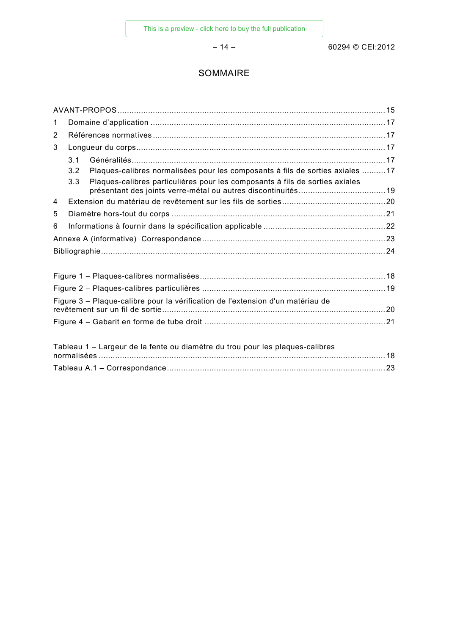– 14 – 60294 © CEI:2012

# SOMMAIRE

| $\mathbf 1$ |     |                                                                                |  |  |  |  |
|-------------|-----|--------------------------------------------------------------------------------|--|--|--|--|
| 2           |     |                                                                                |  |  |  |  |
| 3           |     |                                                                                |  |  |  |  |
|             | 3.1 |                                                                                |  |  |  |  |
|             | 3.2 | Plaques-calibres normalisées pour les composants à fils de sorties axiales 17  |  |  |  |  |
|             | 3.3 | Plaques-calibres particulières pour les composants à fils de sorties axiales   |  |  |  |  |
| 4           |     |                                                                                |  |  |  |  |
| 5           |     |                                                                                |  |  |  |  |
| 6           |     |                                                                                |  |  |  |  |
|             |     |                                                                                |  |  |  |  |
|             |     |                                                                                |  |  |  |  |
|             |     |                                                                                |  |  |  |  |
|             |     |                                                                                |  |  |  |  |
|             |     | Figure 3 - Plaque-calibre pour la vérification de l'extension d'un matériau de |  |  |  |  |
|             |     |                                                                                |  |  |  |  |
|             |     | Tableau 1 - Largeur de la fente ou diamètre du trou pour les plaques-calibres  |  |  |  |  |
|             |     |                                                                                |  |  |  |  |
|             |     |                                                                                |  |  |  |  |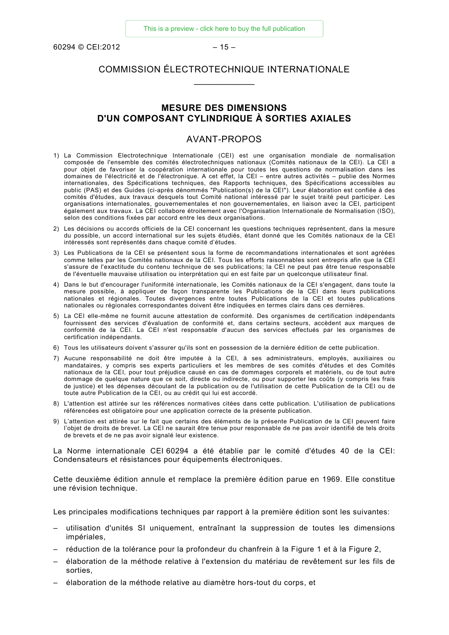$60294 \odot \text{CE}$ 1:2012 – 15

# COMMISSION ÉLECTROTECHNIQUE INTERNATIONALE  $\overline{\phantom{a}}$

#### **MESURE DES DIMENSIONS D'UN COMPOSANT CYLINDRIQUE À SORTIES AXIALES**

#### AVANT-PROPOS

- 1) La Commission Electrotechnique Internationale (CEI) est une organisation mondiale de normalisation composée de l'ensemble des comités électrotechniques nationaux (Comités nationaux de la CEI). La CEI a pour objet de favoriser la coopération internationale pour toutes les questions de normalisation dans les domaines de l'électricité et de l'électronique. A cet effet, la CEI – entre autres activités – publie des Normes internationales, des Spécifications techniques, des Rapports techniques, des Spécifications accessibles au public (PAS) et des Guides (ci-après dénommés "Publication(s) de la CEI"). Leur élaboration est confiée à des comités d'études, aux travaux desquels tout Comité national intéressé par le sujet traité peut participer. Les organisations internationales, gouvernementales et non gouvernementales, en liaison avec la CEI, participent également aux travaux. La CEI collabore étroitement avec l'Organisation Internationale de Normalisation (ISO), selon des conditions fixées par accord entre les deux organisations.
- 2) Les décisions ou accords officiels de la CEI concernant les questions techniques représentent, dans la mesure du possible, un accord international sur les sujets étudiés, étant donné que les Comités nationaux de la CEI intéressés sont représentés dans chaque comité d'études.
- 3) Les Publications de la CEI se présentent sous la forme de recommandations internationales et sont agréées comme telles par les Comités nationaux de la CEI. Tous les efforts raisonnables sont entrepris afin que la CEI s'assure de l'exactitude du contenu technique de ses publications; la CEI ne peut pas être tenue responsable de l'éventuelle mauvaise utilisation ou interprétation qui en est faite par un quelconque utilisateur final.
- 4) Dans le but d'encourager l'uniformité internationale, les Comités nationaux de la CEI s'engagent, dans toute la mesure possible, à appliquer de façon transparente les Publications de la CEI dans leurs publications nationales et régionales. Toutes divergences entre toutes Publications de la CEI et toutes publications nationales ou régionales correspondantes doivent être indiquées en termes clairs dans ces dernières.
- 5) La CEI elle-même ne fournit aucune attestation de conformité. Des organismes de certification indépendants fournissent des services d'évaluation de conformité et, dans certains secteurs, accèdent aux marques de conformité de la CEI. La CEI n'est responsable d'aucun des services effectués par les organismes de certification indépendants.
- 6) Tous les utilisateurs doivent s'assurer qu'ils sont en possession de la dernière édition de cette publication.
- 7) Aucune responsabilité ne doit être imputée à la CEI, à ses administrateurs, employés, auxiliaires ou mandataires, y compris ses experts particuliers et les membres de ses comités d'études et des Comités nationaux de la CEI, pour tout préjudice causé en cas de dommages corporels et matériels, ou de tout autre dommage de quelque nature que ce soit, directe ou indirecte, ou pour supporter les coûts (y compris les frais de justice) et les dépenses découlant de la publication ou de l'utilisation de cette Publication de la CEI ou de toute autre Publication de la CEI, ou au crédit qui lui est accordé.
- 8) L'attention est attirée sur les références normatives citées dans cette publication. L'utilisation de publications référencées est obligatoire pour une application correcte de la présente publication.
- 9) L'attention est attirée sur le fait que certains des éléments de la présente Publication de la CEI peuvent faire l'objet de droits de brevet. La CEI ne saurait être tenue pour responsable de ne pas avoir identifié de tels droits de brevets et de ne pas avoir signalé leur existence.

La Norme internationale CEI 60294 a été établie par le comité d'études 40 de la CEI: Condensateurs et résistances pour équipements électroniques.

Cette deuxième édition annule et remplace la première édition parue en 1969. Elle constitue une révision technique.

Les principales modifications techniques par rapport à la première édition sont les suivantes:

- utilisation d'unités SI uniquement, entraînant la suppression de toutes les dimensions impériales,
- réduction de la tolérance pour la profondeur du chanfrein à la Figure 1 et à la Figure 2,
- élaboration de la méthode relative à l'extension du matériau de revêtement sur les fils de sorties,
- élaboration de la méthode relative au diamètre hors-tout du corps, et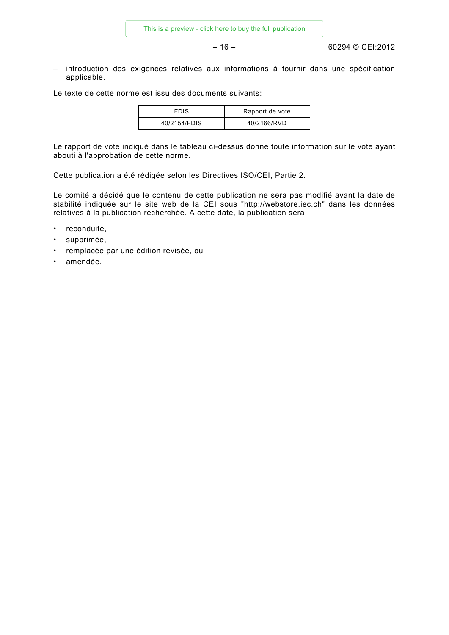– 16 – 60294 © CEI:2012

– introduction des exigences relatives aux informations à fournir dans une spécification applicable.

Le texte de cette norme est issu des documents suivants:

| <b>FDIS</b>  | Rapport de vote |
|--------------|-----------------|
| 40/2154/FDIS | 40/2166/RVD     |

Le rapport de vote indiqué dans le tableau ci-dessus donne toute information sur le vote ayant abouti à l'approbation de cette norme.

Cette publication a été rédigée selon les Directives ISO/CEI, Partie 2.

Le comité a décidé que le contenu de cette publication ne sera pas modifié avant la date de stabilité indiquée sur le site web de la CEI sous "http://webstore.iec.ch" dans les données relatives à la publication recherchée. A cette date, la publication sera

- reconduite,
- supprimée,
- remplacée par une édition révisée, ou
- amendée.